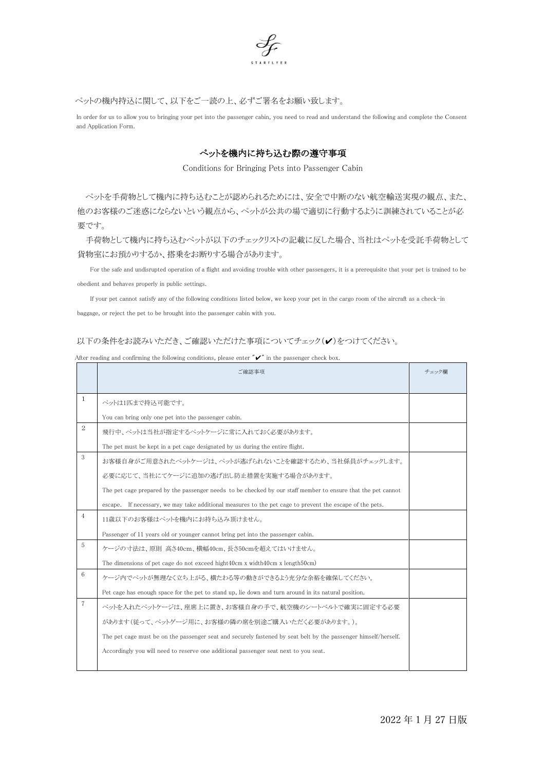

ペットの機内持込に関して、以下をご一読の上、必ずご署名をお願い致します。

In order for us to allow you to bringing your pet into the passenger cabin, you need to read and understand the following and complete the Consent and Application Form.

## ぺットを機内に持ち込む際の遵守事項

Conditions for Bringing Pets into Passenger Cabin

ペットを手荷物として機内に持ち込むことが認められるためには、安全で中断のない航空輸送実現の観点、また、 他のお客様のご迷惑にならないという観点から、ペットが公共の場で適切に行動するように訓練されていることが必 要です。

手荷物として機内に持ち込むペットが以下のチェックリストの記載に反した場合、当社はペットを受託手荷物として 貨物室にお預かりするか、搭乗をお断りする場合があります。

For the safe and undisrupted operation of a flight and avoiding trouble with other passengers, it is a prerequisite that your pet is trained to be obedient and behaves properly in public settings.

If your pet cannot satisfy any of the following conditions listed below, we keep your pet in the cargo room of the aircraft as a check-in baggage, or reject the pet to be brought into the passenger cabin with you.

## 以下の条件をお読みいただき、ご確認いただけた事項についてチェック(ノ)をつけてください。

|                 | ご確認事項                                                                                                           |  |  |  |  |  |  |
|-----------------|-----------------------------------------------------------------------------------------------------------------|--|--|--|--|--|--|
| 1               |                                                                                                                 |  |  |  |  |  |  |
|                 | ペットは1匹まで持込可能です。                                                                                                 |  |  |  |  |  |  |
|                 | You can bring only one pet into the passenger cabin.                                                            |  |  |  |  |  |  |
| 2               | 飛行中、ペットは当社が指定するペットケージに常に入れておく必要があります。                                                                           |  |  |  |  |  |  |
|                 | The pet must be kept in a pet cage designated by us during the entire flight.                                   |  |  |  |  |  |  |
| 3               | お客様自身がご用意されたペットケージは、ペットが逃げられないことを確認するため、当社係員がチェックします。                                                           |  |  |  |  |  |  |
|                 | 必要に応じて、当社にてケージに追加の逃げ出し防止措置を実施する場合があります。                                                                         |  |  |  |  |  |  |
|                 | The pet cage prepared by the passenger needs to be checked by our staff member to ensure that the pet cannot    |  |  |  |  |  |  |
|                 | escape. If necessary, we may take additional measures to the pet cage to prevent the escape of the pets.        |  |  |  |  |  |  |
| $\overline{4}$  | 11歳以下のお客様はペットを機内にお持ち込み頂けません。                                                                                    |  |  |  |  |  |  |
|                 | Passenger of 11 years old or younger cannot bring pet into the passenger cabin.                                 |  |  |  |  |  |  |
| 5               | ケージの寸法は、原則 高さ40cm、横幅40cm、長さ50cmを超えてはいけません。                                                                      |  |  |  |  |  |  |
|                 | The dimensions of pet cage do not exceed hight40cm x width40cm x length50cm)                                    |  |  |  |  |  |  |
| $6\phantom{1}6$ | ケージ内でペットが無理なく立ち上がる、横たわる等の動きができるよう充分な余裕を確保してください。                                                                |  |  |  |  |  |  |
|                 | Pet cage has enough space for the pet to stand up, lie down and turn around in its natural position.            |  |  |  |  |  |  |
| $\overline{7}$  | ペットを入れたペットケージは、座席上に置き、お客様自身の手で、航空機のシートベルトで確実に固定する必要                                                             |  |  |  |  |  |  |
|                 | があります(従って、ペットゲージ用に、お客様の隣の席を別途ご購入いただく必要があります。)。                                                                  |  |  |  |  |  |  |
|                 | The pet cage must be on the passenger seat and securely fastened by seat belt by the passenger himself/herself. |  |  |  |  |  |  |
|                 | Accordingly you will need to reserve one additional passenger seat next to you seat.                            |  |  |  |  |  |  |
|                 |                                                                                                                 |  |  |  |  |  |  |

After reading and confirming the following conditions, please enter  $\tilde{\phantom{a}}\check{\phantom{a}}'$  in the passenger check box.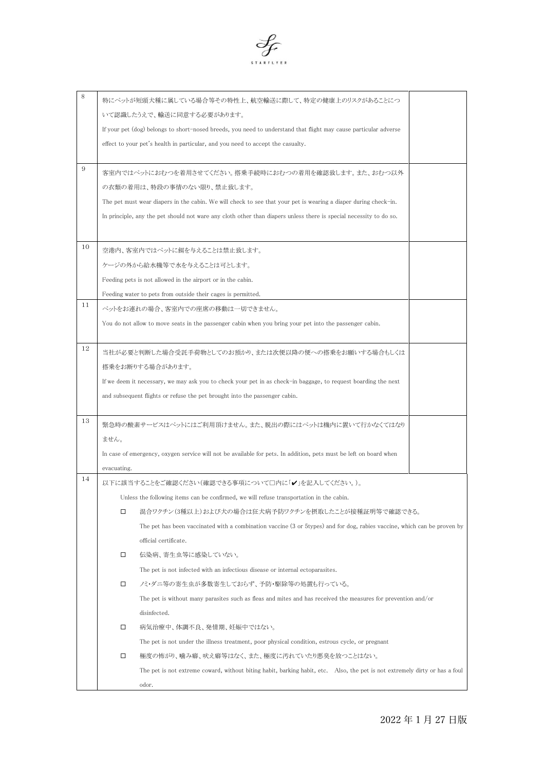

| 8  |                                                                                                                    | 特にペットが短頭犬種に属している場合等その特性上、航空輸送に際して、特定の健康上のリスクがあることにつ                                                                         |  |  |  |  |  |
|----|--------------------------------------------------------------------------------------------------------------------|-----------------------------------------------------------------------------------------------------------------------------|--|--|--|--|--|
|    | いて認識したうえで、輸送に同意する必要があります。                                                                                          |                                                                                                                             |  |  |  |  |  |
|    | If your pet (dog) belongs to short-nosed breeds, you need to understand that flight may cause particular adverse   |                                                                                                                             |  |  |  |  |  |
|    |                                                                                                                    | effect to your pet's health in particular, and you need to accept the casualty.                                             |  |  |  |  |  |
|    |                                                                                                                    |                                                                                                                             |  |  |  |  |  |
| 9  |                                                                                                                    | 客室内ではペットにおむつを着用させてください。搭乗手続時におむつの着用を確認致します。また、おむつ以外                                                                         |  |  |  |  |  |
|    | の衣類の着用は、特段の事情のない限り、禁止致します。                                                                                         |                                                                                                                             |  |  |  |  |  |
|    | The pet must wear diapers in the cabin. We will check to see that your pet is wearing a diaper during check-in.    |                                                                                                                             |  |  |  |  |  |
|    | In principle, any the pet should not ware any cloth other than diapers unless there is special necessity to do so. |                                                                                                                             |  |  |  |  |  |
|    |                                                                                                                    |                                                                                                                             |  |  |  |  |  |
| 10 |                                                                                                                    |                                                                                                                             |  |  |  |  |  |
|    | 空港内、客室内ではペットに餌を与えることは禁止致します。                                                                                       |                                                                                                                             |  |  |  |  |  |
|    | ケージの外から給水機等で水を与えることは可とします。                                                                                         |                                                                                                                             |  |  |  |  |  |
|    | Feeding pets is not allowed in the airport or in the cabin.                                                        |                                                                                                                             |  |  |  |  |  |
| 11 |                                                                                                                    | Feeding water to pets from outside their cages is permitted.                                                                |  |  |  |  |  |
|    |                                                                                                                    | ペットをお連れの場合、客室内での座席の移動は一切できません。                                                                                              |  |  |  |  |  |
|    | You do not allow to move seats in the passenger cabin when you bring your pet into the passenger cabin.            |                                                                                                                             |  |  |  |  |  |
|    |                                                                                                                    |                                                                                                                             |  |  |  |  |  |
| 12 | 当社が必要と判断した場合受託手荷物としてのお預かり、または次便以降の便への搭乗をお願いする場合もしくは                                                                |                                                                                                                             |  |  |  |  |  |
|    | 搭乗をお断りする場合があります。                                                                                                   |                                                                                                                             |  |  |  |  |  |
|    | If we deem it necessary, we may ask you to check your pet in as check-in baggage, to request boarding the next     |                                                                                                                             |  |  |  |  |  |
|    | and subsequent flights or refuse the pet brought into the passenger cabin.                                         |                                                                                                                             |  |  |  |  |  |
|    |                                                                                                                    |                                                                                                                             |  |  |  |  |  |
| 13 | 緊急時の酸素サービスはペットにはご利用頂けません。また、脱出の際にはペットは機内に置いて行かなくてはなり                                                               |                                                                                                                             |  |  |  |  |  |
|    | ません。                                                                                                               |                                                                                                                             |  |  |  |  |  |
|    |                                                                                                                    | In case of emergency, oxygen service will not be available for pets. In addition, pets must be left on board when           |  |  |  |  |  |
|    | evacuating.                                                                                                        |                                                                                                                             |  |  |  |  |  |
| 14 | 以下に該当することをご確認ください(確認できる事項について□内に「✔」を記入してください。)。                                                                    |                                                                                                                             |  |  |  |  |  |
|    |                                                                                                                    | Unless the following items can be confirmed, we will refuse transportation in the cabin.                                    |  |  |  |  |  |
|    | □                                                                                                                  | 混合ワクチン(3種以上)および犬の場合は狂犬病予防ワクチンを摂取したことが接種証明等で確認できる。                                                                           |  |  |  |  |  |
|    |                                                                                                                    | The pet has been vaccinated with a combination vaccine (3 or 5types) and for dog, rabies vaccine, which can be proven by    |  |  |  |  |  |
|    |                                                                                                                    | official certificate.                                                                                                       |  |  |  |  |  |
|    | □                                                                                                                  | 伝染病、寄生虫等に感染していない。                                                                                                           |  |  |  |  |  |
|    |                                                                                                                    | The pet is not infected with an infectious disease or internal ectoparasites.                                               |  |  |  |  |  |
|    | □                                                                                                                  | ノミ・ダニ等の寄生虫が多数寄生しておらず、予防・駆除等の処置も行っている。                                                                                       |  |  |  |  |  |
|    |                                                                                                                    | The pet is without many parasites such as fleas and mites and has received the measures for prevention and/or               |  |  |  |  |  |
|    | disinfected.                                                                                                       |                                                                                                                             |  |  |  |  |  |
|    | □                                                                                                                  | 病気治療中、体調不良、発情期、妊娠中ではない。                                                                                                     |  |  |  |  |  |
|    |                                                                                                                    | The pet is not under the illness treatment, poor physical condition, estrous cycle, or pregnant                             |  |  |  |  |  |
|    | □                                                                                                                  | 極度の怖がり、噛み癖、吠え癖等はなく、また、極度に汚れていたり悪臭を放つことはない。                                                                                  |  |  |  |  |  |
|    |                                                                                                                    | The pet is not extreme coward, without biting habit, barking habit, etc. Also, the pet is not extremely dirty or has a foul |  |  |  |  |  |
|    |                                                                                                                    | odor.                                                                                                                       |  |  |  |  |  |
|    |                                                                                                                    |                                                                                                                             |  |  |  |  |  |